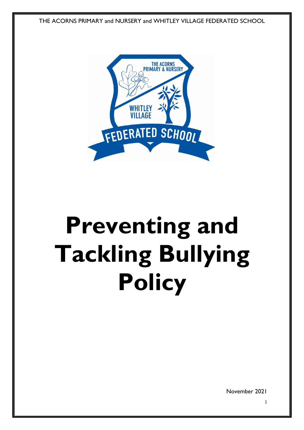THE ACORNS PRIMARY and NURSERY and WHITLEY VILLAGE FEDERATED SCHOOL



# **Preventing and Tackling Bullying Policy**

November 2021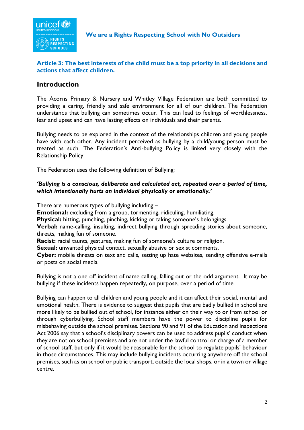

#### **Article 3: The best interests of the child must be a top priority in all decisions and actions that affect children.**

### **Introduction**

The Acorns Primary & Nursery and Whitley Village Federation are both committed to providing a caring, friendly and safe environment for all of our children. The Federation understands that bullying can sometimes occur. This can lead to feelings of worthlessness, fear and upset and can have lasting effects on individuals and their parents.

Bullying needs to be explored in the context of the relationships children and young people have with each other. Any incident perceived as bullying by a child/young person must be treated as such. The Federation's Anti-bullying Policy is linked very closely with the Relationship Policy.

The Federation uses the following definition of Bullying:

#### *'Bullying is a conscious, deliberate and calculated act, repeated over a period of time, which intentionally hurts an individual physically or emotionally.'*

There are numerous types of bullying including –

**Emotional:** excluding from a group, tormenting, ridiculing, humiliating.

**Physical:** hitting, punching, pinching, kicking or taking someone's belongings.

**Verbal:** name-calling, insulting, indirect bullying through spreading stories about someone, threats, making fun of someone.

**Racist:** racial taunts, gestures, making fun of someone's culture or religion.

**Sexual:** unwanted physical contact, sexually abusive or sexist comments.

**Cyber:** mobile threats on text and calls, setting up hate websites, sending offensive e-mails or posts on social media

Bullying is not a one off incident of name calling, falling out or the odd argument. It may be bullying if these incidents happen repeatedly, on purpose, over a period of time.

Bullying can happen to all children and young people and it can affect their social, mental and emotional health. There is evidence to suggest that pupils that are badly bullied in school are more likely to be bullied out of school, for instance either on their way to or from school or through cyberbullying. School staff members have the power to discipline pupils for misbehaving outside the school premises. Sections 90 and 91 of the Education and Inspections Act 2006 say that a school's disciplinary powers can be used to address pupils' conduct when they are not on school premises and are not under the lawful control or charge of a member of school staff, but only if it would be reasonable for the school to regulate pupils' behaviour in those circumstances. This may include bullying incidents occurring anywhere off the school premises, such as on school or public transport, outside the local shops, or in a town or village centre.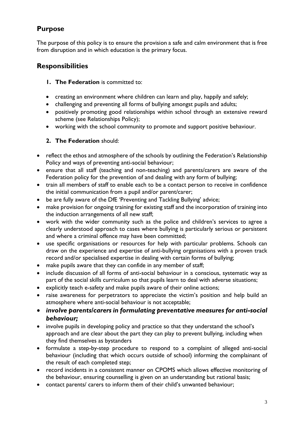# **Purpose**

The purpose of this policy is to ensure the provision a safe and calm environment that is free from disruption and in which education is the primary focus.

## **Responsibilities**

#### **1. The Federation** is committed to:

- creating an environment where children can learn and play, happily and safely;
- challenging and preventing all forms of bullying amongst pupils and adults;
- positively promoting good relationships within school through an extensive reward scheme (see Relationships Policy);
- working with the school community to promote and support positive behaviour.

### **2. The Federation** should:

- reflect the ethos and atmosphere of the schools by outlining the Federation's Relationship Policy and ways of preventing anti-social behaviour;
- ensure that all staff (teaching and non-teaching) and parents/carers are aware of the Federation policy for the prevention of and dealing with any form of bullying;
- train all members of staff to enable each to be a contact person to receive in confidence the initial communication from a pupil and/or parent/carer;
- be are fully aware of the DfE 'Preventing and Tackling Bullying' advice;
- make provision for ongoing training for existing staff and the incorporation of training into the induction arrangements of all new staff;
- work with the wider community such as the police and children's services to agree a clearly understood approach to cases where bullying is particularly serious or persistent and where a criminal offence may have been committed;
- use specific organisations or resources for help with particular problems. Schools can draw on the experience and expertise of anti-bullying organisations with a proven track record and/or specialised expertise in dealing with certain forms of bullying;
- make pupils aware that they can confide in any member of staff;
- include discussion of all forms of anti-social behaviour in a conscious, systematic way as part of the social skills curriculum so that pupils learn to deal with adverse situations;
- explicitly teach e-safety and make pupils aware of their online actions;
- raise awareness for perpetrators to appreciate the victim's position and help build an atmosphere where anti-social behaviour is not acceptable;
- *involve parents/carers in formulating preventative measures for anti-social behaviour;*
- involve pupils in developing policy and practice so that they understand the school's approach and are clear about the part they can play to prevent bullying, including when they find themselves as bystanders
- formulate a step-by-step procedure to respond to a complaint of alleged anti-social behaviour (including that which occurs outside of school) informing the complainant of the result of each completed step;
- record incidents in a consistent manner on CPOMS which allows effective monitoring of the behaviour, ensuring counselling is given on an understanding but rational basis;
- contact parents/ carers to inform them of their child's unwanted behaviour;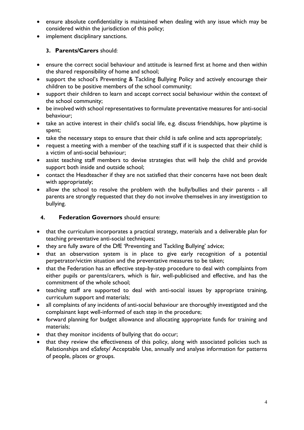- ensure absolute confidentiality is maintained when dealing with any issue which may be considered within the jurisdiction of this policy;
- implement disciplinary sanctions.

### **3. Parents/Carers** should:

- ensure the correct social behaviour and attitude is learned first at home and then within the shared responsibility of home and school;
- support the school's Preventing & Tackling Bullying Policy and actively encourage their children to be positive members of the school community;
- support their children to learn and accept correct social behaviour within the context of the school community;
- be involved with school representatives to formulate preventative measures for anti-social behaviour;
- take an active interest in their child's social life, e.g. discuss friendships, how playtime is spent;
- take the necessary steps to ensure that their child is safe online and acts appropriately;
- request a meeting with a member of the teaching staff if it is suspected that their child is a victim of anti-social behaviour;
- assist teaching staff members to devise strategies that will help the child and provide support both inside and outside school;
- contact the Headteacher if they are not satisfied that their concerns have not been dealt with appropriately;
- allow the school to resolve the problem with the bully/bullies and their parents all parents are strongly requested that they do not involve themselves in any investigation to bullying.

### **4. Federation Governors** should ensure:

- that the curriculum incorporates a practical strategy, materials and a deliverable plan for teaching preventative anti-social techniques;
- they are fully aware of the DfE 'Preventing and Tackling Bullying' advice;
- that an observation system is in place to give early recognition of a potential perpetrator/victim situation and the preventative measures to be taken;
- that the Federation has an effective step-by-step procedure to deal with complaints from either pupils or parents/carers, which is fair, well-publicised and effective, and has the commitment of the whole school;
- teaching staff are supported to deal with anti-social issues by appropriate training, curriculum support and materials;
- all complaints of any incidents of anti-social behaviour are thoroughly investigated and the complainant kept well-informed of each step in the procedure;
- forward planning for budget allowance and allocating appropriate funds for training and materials;
- that they monitor incidents of bullying that do occur;
- that they review the effectiveness of this policy, along with associated policies such as Relationships and eSafety/ Acceptable Use, annually and analyse information for patterns of people, places or groups.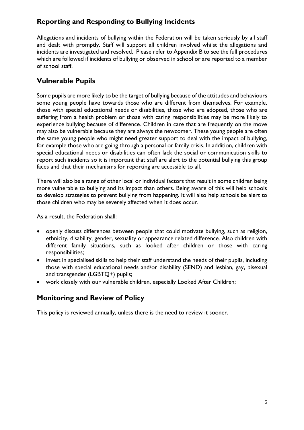## **Reporting and Responding to Bullying Incidents**

Allegations and incidents of bullying within the Federation will be taken seriously by all staff and dealt with promptly. Staff will support all children involved whilst the allegations and incidents are investigated and resolved. Please refer to Appendix B to see the full procedures which are followed if incidents of bullying or observed in school or are reported to a member of school staff.

## **Vulnerable Pupils**

Some pupils are more likely to be the target of bullying because of the attitudes and behaviours some young people have towards those who are different from themselves. For example, those with special educational needs or disabilities, those who are adopted, those who are suffering from a health problem or those with caring responsibilities may be more likely to experience bullying because of difference. Children in care that are frequently on the move may also be vulnerable because they are always the newcomer. These young people are often the same young people who might need greater support to deal with the impact of bullying, for example those who are going through a personal or family crisis. In addition, children with special educational needs or disabilities can often lack the social or communication skills to report such incidents so it is important that staff are alert to the potential bullying this group faces and that their mechanisms for reporting are accessible to all.

There will also be a range of other local or individual factors that result in some children being more vulnerable to bullying and its impact than others. Being aware of this will help schools to develop strategies to prevent bullying from happening. It will also help schools be alert to those children who may be severely affected when it does occur.

As a result, the Federation shall:

- openly discuss differences between people that could motivate bullying, such as religion, ethnicity, disability, gender, sexuality or appearance related difference. Also children with different family situations, such as looked after children or those with caring responsibilities;
- invest in specialised skills to help their staff understand the needs of their pupils, including those with special educational needs and/or disability (SEND) and lesbian, gay, bisexual and transgender (LGBTQ+) pupils;
- work closely with our vulnerable children, especially Looked After Children;

## **Monitoring and Review of Policy**

This policy is reviewed annually, unless there is the need to review it sooner.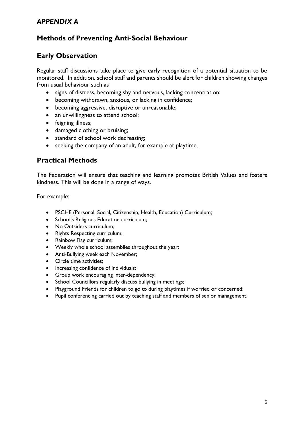## *APPENDIX A*

## **Methods of Preventing Anti-Social Behaviour**

## **Early Observation**

Regular staff discussions take place to give early recognition of a potential situation to be monitored. In addition, school staff and parents should be alert for children showing changes from usual behaviour such as

- signs of distress, becoming shy and nervous, lacking concentration;
- becoming withdrawn, anxious, or lacking in confidence;
- becoming aggressive, disruptive or unreasonable;
- an unwillingness to attend school;
- feigning illness;
- damaged clothing or bruising;
- standard of school work decreasing;
- seeking the company of an adult, for example at playtime.

### **Practical Methods**

The Federation will ensure that teaching and learning promotes British Values and fosters kindness. This will be done in a range of ways.

For example:

- PSCHE (Personal, Social, Citizenship, Health, Education) Curriculum;
- School's Religious Education curriculum;
- No Outsiders curriculum;
- Rights Respecting curriculum;
- Rainbow Flag curriculum;
- Weekly whole school assemblies throughout the year;
- Anti-Bullying week each November;
- Circle time activities;
- Increasing confidence of individuals;
- Group work encouraging inter-dependency;
- School Councillors regularly discuss bullying in meetings;
- Playground Friends for children to go to during playtimes if worried or concerned;
- Pupil conferencing carried out by teaching staff and members of senior management.